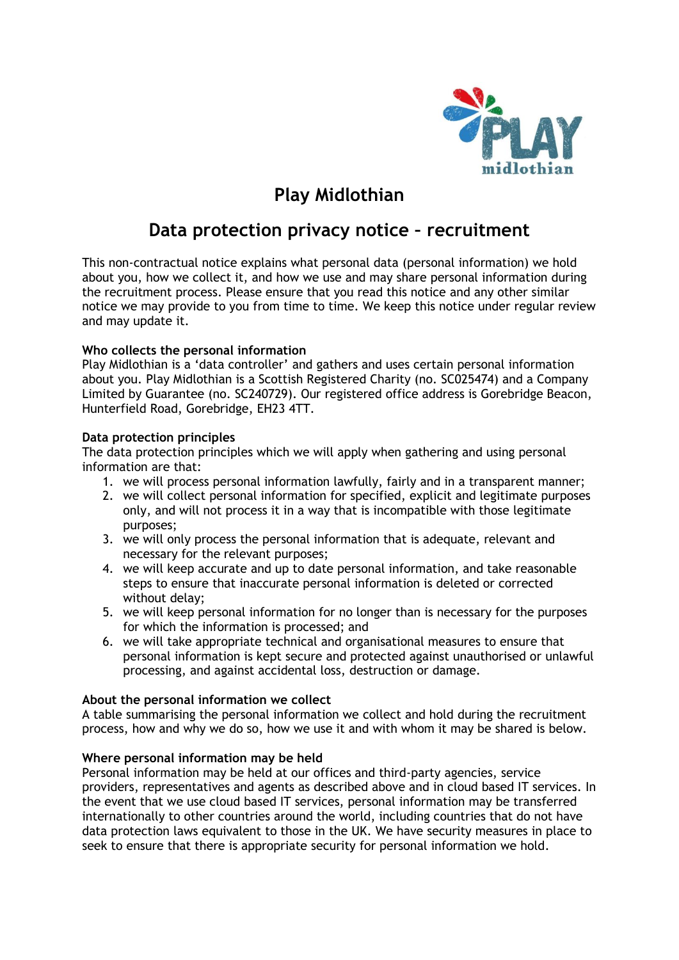

# **Play Midlothian**

## **Data protection privacy notice – recruitment**

This non-contractual notice explains what personal data (personal information) we hold about you, how we collect it, and how we use and may share personal information during the recruitment process. Please ensure that you read this notice and any other similar notice we may provide to you from time to time. We keep this notice under regular review and may update it.

## **Who collects the personal information**

Play Midlothian is a 'data controller' and gathers and uses certain personal information about you. Play Midlothian is a Scottish Registered Charity (no. SC025474) and a Company Limited by Guarantee (no. SC240729). Our registered office address is Gorebridge Beacon, Hunterfield Road, Gorebridge, EH23 4TT.

## **Data protection principles**

The data protection principles which we will apply when gathering and using personal information are that:

- 1. we will process personal information lawfully, fairly and in a transparent manner;
- 2. we will collect personal information for specified, explicit and legitimate purposes only, and will not process it in a way that is incompatible with those legitimate purposes;
- 3. we will only process the personal information that is adequate, relevant and necessary for the relevant purposes;
- 4. we will keep accurate and up to date personal information, and take reasonable steps to ensure that inaccurate personal information is deleted or corrected without delay;
- 5. we will keep personal information for no longer than is necessary for the purposes for which the information is processed; and
- 6. we will take appropriate technical and organisational measures to ensure that personal information is kept secure and protected against unauthorised or unlawful processing, and against accidental loss, destruction or damage.

## **About the personal information we collect**

A table summarising the personal information we collect and hold during the recruitment process, how and why we do so, how we use it and with whom it may be shared is below.

## **Where personal information may be held**

Personal information may be held at our offices and third-party agencies, service providers, representatives and agents as described above and in cloud based IT services. In the event that we use cloud based IT services, personal information may be transferred internationally to other countries around the world, including countries that do not have data protection laws equivalent to those in the UK. We have security measures in place to seek to ensure that there is appropriate security for personal information we hold.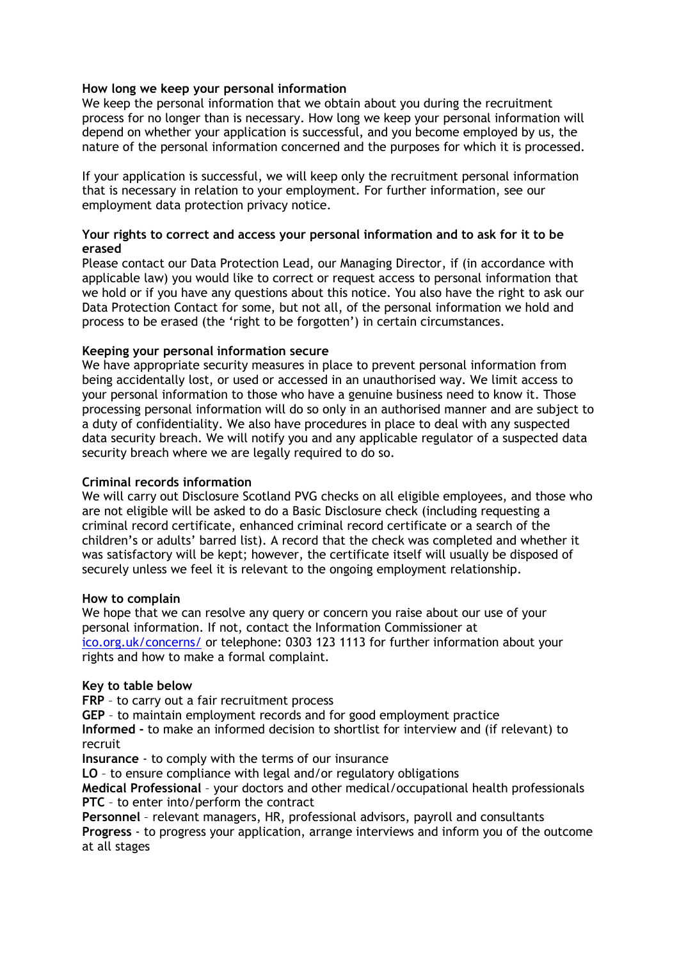## **How long we keep your personal information**

We keep the personal information that we obtain about you during the recruitment process for no longer than is necessary. How long we keep your personal information will depend on whether your application is successful, and you become employed by us, the nature of the personal information concerned and the purposes for which it is processed.

If your application is successful, we will keep only the recruitment personal information that is necessary in relation to your employment. For further information, see our employment data protection privacy notice.

#### **Your rights to correct and access your personal information and to ask for it to be erased**

Please contact our Data Protection Lead, our Managing Director, if (in accordance with applicable law) you would like to correct or request access to personal information that we hold or if you have any questions about this notice. You also have the right to ask our Data Protection Contact for some, but not all, of the personal information we hold and process to be erased (the 'right to be forgotten') in certain circumstances.

#### **Keeping your personal information secure**

We have appropriate security measures in place to prevent personal information from being accidentally lost, or used or accessed in an unauthorised way. We limit access to your personal information to those who have a genuine business need to know it. Those processing personal information will do so only in an authorised manner and are subject to a duty of confidentiality. We also have procedures in place to deal with any suspected data security breach. We will notify you and any applicable regulator of a suspected data security breach where we are legally required to do so.

#### **Criminal records information**

We will carry out Disclosure Scotland PVG checks on all eligible employees, and those who are not eligible will be asked to do a Basic Disclosure check (including requesting a criminal record certificate, enhanced criminal record certificate or a search of the children's or adults' barred list). A record that the check was completed and whether it was satisfactory will be kept; however, the certificate itself will usually be disposed of securely unless we feel it is relevant to the ongoing employment relationship.

#### **How to complain**

We hope that we can resolve any query or concern you raise about our use of your personal information. If not, contact the Information Commissioner at [ico.org.uk/concerns/](http://ico.org.uk/concerns/) or telephone: 0303 123 1113 for further information about your rights and how to make a formal complaint.

#### **Key to table below**

**FRP** – to carry out a fair recruitment process

**GEP** – to maintain employment records and for good employment practice **Informed -** to make an informed decision to shortlist for interview and (if relevant) to recruit

**Insurance** - to comply with the terms of our insurance

**LO** – to ensure compliance with legal and/or regulatory obligations

**Medical Professional** – your doctors and other medical/occupational health professionals **PTC** – to enter into/perform the contract

**Personnel** – relevant managers, HR, professional advisors, payroll and consultants **Progress** - to progress your application, arrange interviews and inform you of the outcome at all stages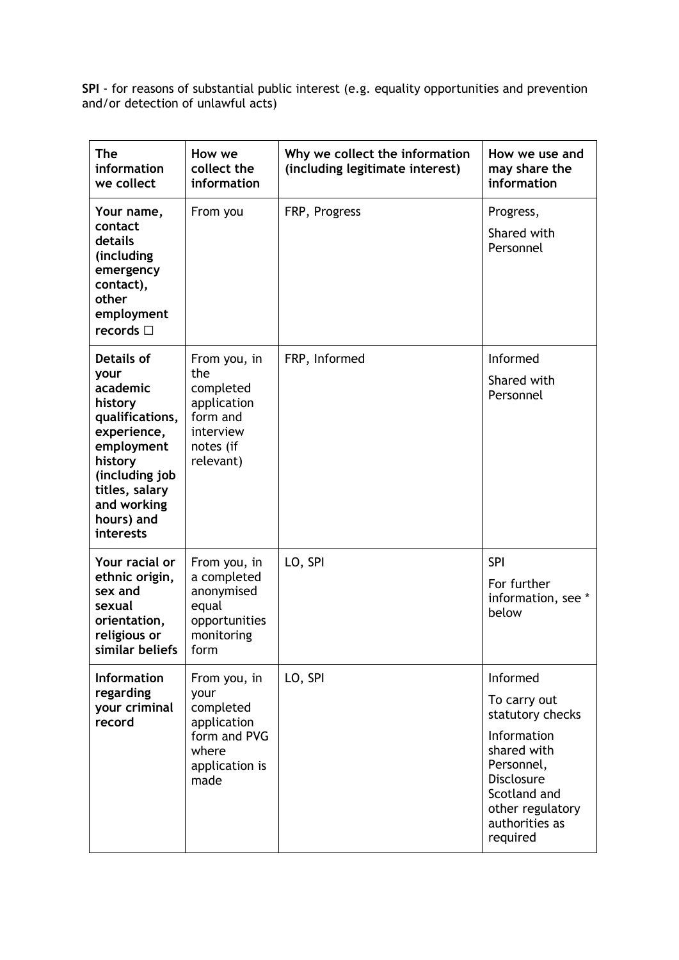**SPI** - for reasons of substantial public interest (e.g. equality opportunities and prevention and/or detection of unlawful acts)

| <b>The</b><br>information<br>we collect                                                                                                                                            | How we<br>collect the<br>information                                                                | Why we collect the information<br>(including legitimate interest) | How we use and<br>may share the<br>information                                                                                                                                  |
|------------------------------------------------------------------------------------------------------------------------------------------------------------------------------------|-----------------------------------------------------------------------------------------------------|-------------------------------------------------------------------|---------------------------------------------------------------------------------------------------------------------------------------------------------------------------------|
| Your name,<br>contact<br>details<br>(including<br>emergency<br>contact),<br>other<br>employment<br>records $\square$                                                               | From you                                                                                            | FRP, Progress                                                     | Progress,<br>Shared with<br>Personnel                                                                                                                                           |
| Details of<br>your<br>academic<br>history<br>qualifications,<br>experience,<br>employment<br>history<br>(including job<br>titles, salary<br>and working<br>hours) and<br>interests | From you, in<br>the<br>completed<br>application<br>form and<br>interview<br>notes (if<br>relevant)  | FRP, Informed                                                     | Informed<br>Shared with<br>Personnel                                                                                                                                            |
| Your racial or<br>ethnic origin,<br>sex and<br>sexual<br>orientation,<br>religious or<br>similar beliefs                                                                           | From you, in<br>a completed<br>anonymised<br>equal<br>opportunities<br>monitoring<br>form           | LO, SPI                                                           | <b>SPI</b><br>For further<br>information, see *<br>below                                                                                                                        |
| <b>Information</b><br>regarding<br>your criminal<br>record                                                                                                                         | From you, in<br>your<br>completed<br>application<br>form and PVG<br>where<br>application is<br>made | LO, SPI                                                           | Informed<br>To carry out<br>statutory checks<br>Information<br>shared with<br>Personnel,<br><b>Disclosure</b><br>Scotland and<br>other regulatory<br>authorities as<br>required |